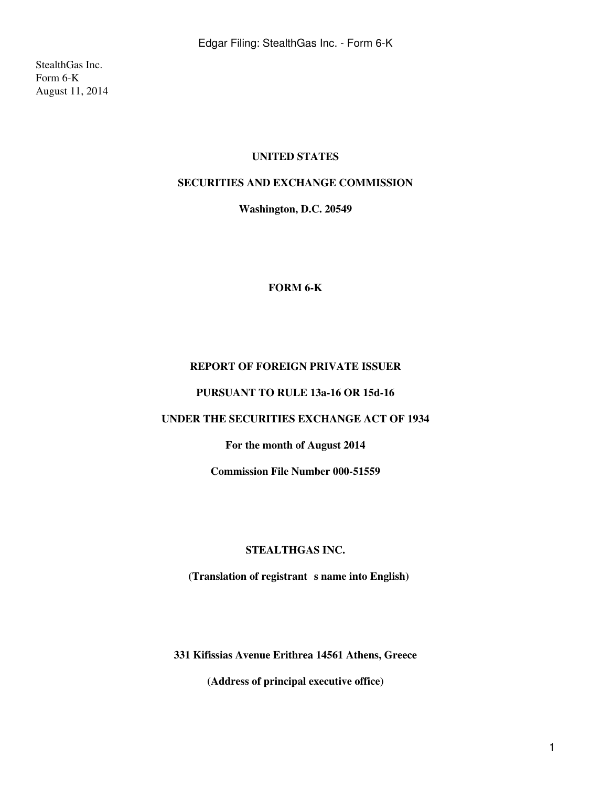StealthGas Inc. Form 6-K August 11, 2014

## **UNITED STATES**

## **SECURITIES AND EXCHANGE COMMISSION**

**Washington, D.C. 20549**

#### **FORM 6-K**

## **REPORT OF FOREIGN PRIVATE ISSUER**

#### **PURSUANT TO RULE 13a-16 OR 15d-16**

## **UNDER THE SECURITIES EXCHANGE ACT OF 1934**

## **For the month of August 2014**

**Commission File Number 000-51559**

#### **STEALTHGAS INC.**

(Translation of registrant s name into English)

**331 Kifissias Avenue Erithrea 14561 Athens, Greece**

**(Address of principal executive office)**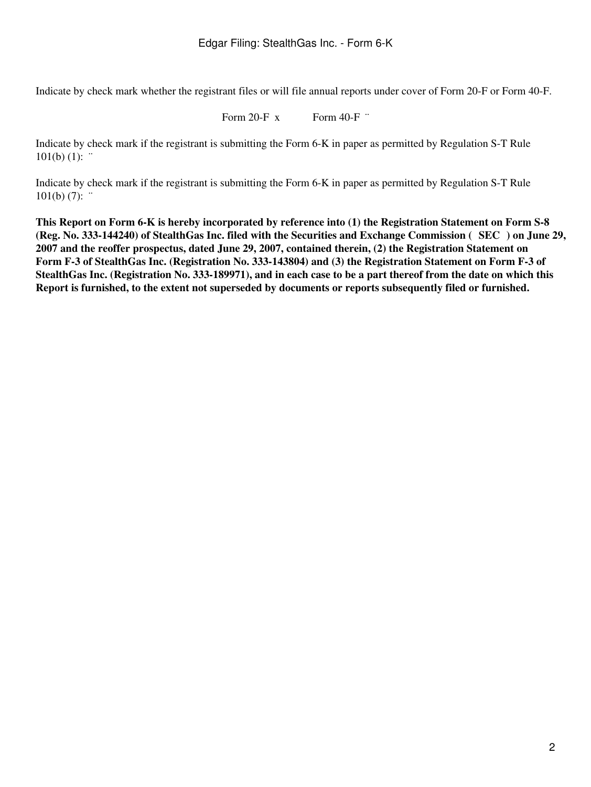Indicate by check mark whether the registrant files or will file annual reports under cover of Form 20-F or Form 40-F.

Form 20-F  $x$  Form 40-F  $\cdot$ 

Indicate by check mark if the registrant is submitting the Form 6-K in paper as permitted by Regulation S-T Rule  $101(b) (1):$ 

Indicate by check mark if the registrant is submitting the Form 6-K in paper as permitted by Regulation S-T Rule  $101(b) (7)$ :  $\cdot$ 

**This Report on Form 6-K is hereby incorporated by reference into (1) the Registration Statement on Form S-8 (Reg. No. 333-144240) of StealthGas Inc. filed with the Securities and Exchange Commission (SEC) on June 29, 2007 and the reoffer prospectus, dated June 29, 2007, contained therein, (2) the Registration Statement on Form F-3 of StealthGas Inc. (Registration No. 333-143804) and (3) the Registration Statement on Form F-3 of StealthGas Inc. (Registration No. 333-189971), and in each case to be a part thereof from the date on which this Report is furnished, to the extent not superseded by documents or reports subsequently filed or furnished.**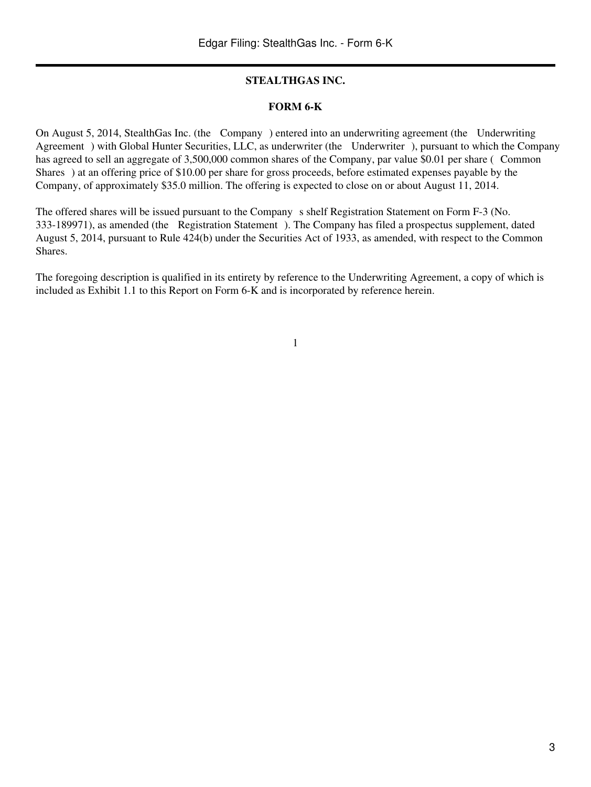## **STEALTHGAS INC.**

## **FORM 6-K**

On August 5, 2014, StealthGas Inc. (the Company) entered into an underwriting agreement (the Underwriting Agreement) with Global Hunter Securities, LLC, as underwriter (the Underwriter), pursuant to which the Company has agreed to sell an aggregate of 3,500,000 common shares of the Company, par value \$0.01 per share (Common Shares) at an offering price of \$10.00 per share for gross proceeds, before estimated expenses payable by the Company, of approximately \$35.0 million. The offering is expected to close on or about August 11, 2014.

The offered shares will be issued pursuant to the Company s shelf Registration Statement on Form F-3 (No. 333-189971), as amended (the Registration Statement). The Company has filed a prospectus supplement, dated August 5, 2014, pursuant to Rule 424(b) under the Securities Act of 1933, as amended, with respect to the Common Shares.

The foregoing description is qualified in its entirety by reference to the Underwriting Agreement, a copy of which is included as Exhibit 1.1 to this Report on Form 6-K and is incorporated by reference herein.

1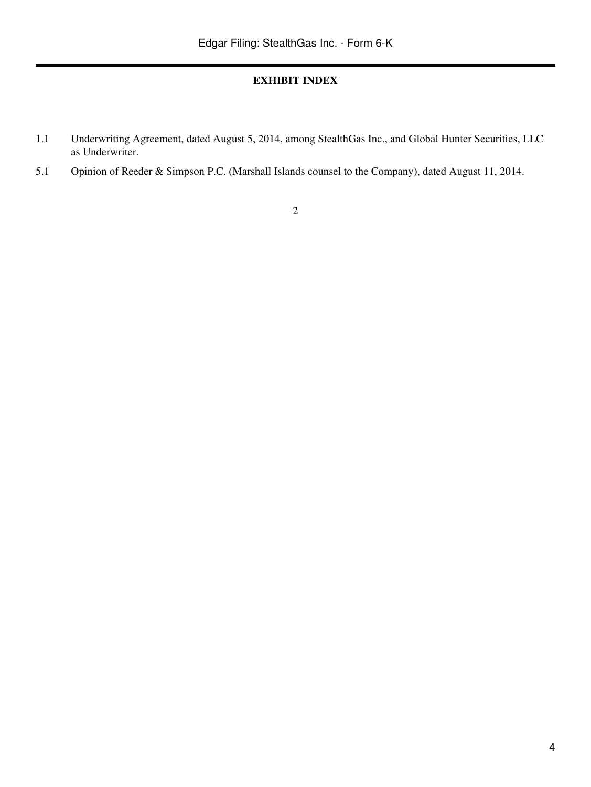## **EXHIBIT INDEX**

- 1.1 Underwriting Agreement, dated August 5, 2014, among StealthGas Inc., and Global Hunter Securities, LLC as Underwriter.
- 5.1 Opinion of Reeder & Simpson P.C. (Marshall Islands counsel to the Company), dated August 11, 2014.

# 2